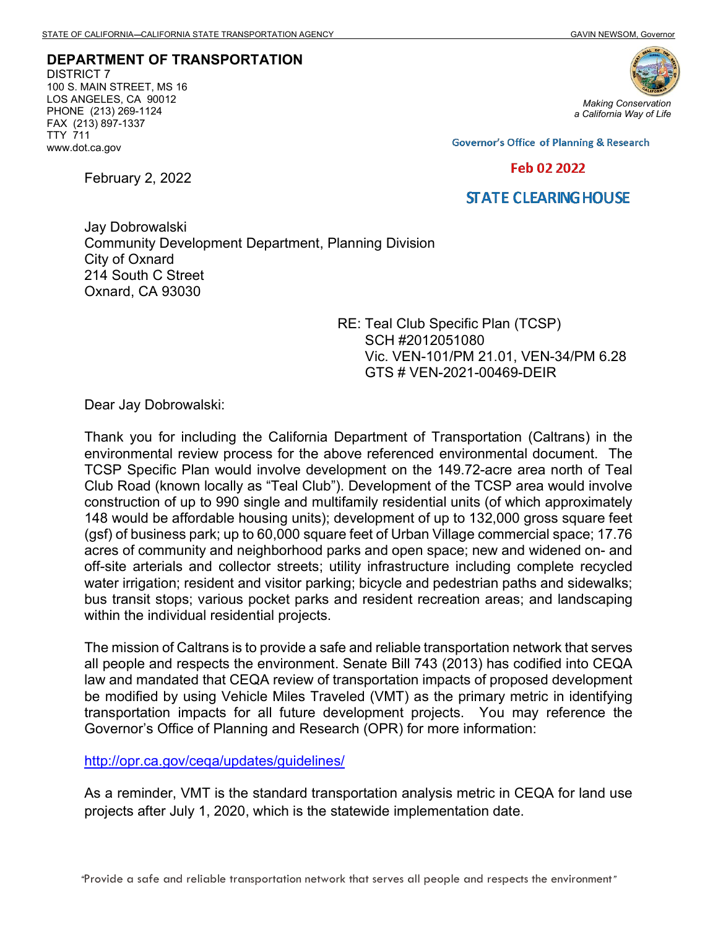DEPARTMENT OF TRANSPORTATION DISTRICT 7 100 S. MAIN STREET, MS 16 LOS ANGELES, CA 90012 PHONE (213) 269-1124 FAX (213) 897-1337 TTY 711 www.dot.ca.gov

February 2, 2022



**Governor's Office of Planning & Research** 

## Feb 02 2022

## **STATE CLEARING HOUSE**

Jay Dobrowalski Community Development Department, Planning Division City of Oxnard 214 South C Street Oxnard, CA 93030

> RE: Teal Club Specific Plan (TCSP) SCH #2012051080 Vic. VEN-101/PM 21.01, VEN-34/PM 6.28 GTS # VEN-2021-00469-DEIR

Dear Jay Dobrowalski:

Thank you for including the California Department of Transportation (Caltrans) in the environmental review process for the above referenced environmental document. The TCSP Specific Plan would involve development on the 149.72-acre area north of Teal Club Road (known locally as "Teal Club"). Development of the TCSP area would involve construction of up to 990 single and multifamily residential units (of which approximately 148 would be affordable housing units); development of up to 132,000 gross square feet (gsf) of business park; up to 60,000 square feet of Urban Village commercial space; 17.76 acres of community and neighborhood parks and open space; new and widened on- and off-site arterials and collector streets; utility infrastructure including complete recycled water irrigation; resident and visitor parking; bicycle and pedestrian paths and sidewalks; bus transit stops; various pocket parks and resident recreation areas; and landscaping within the individual residential projects.

The mission of Caltrans is to provide a safe and reliable transportation network that serves all people and respects the environment. Senate Bill 743 (2013) has codified into CEQA law and mandated that CEQA review of transportation impacts of proposed development be modified by using Vehicle Miles Traveled (VMT) as the primary metric in identifying transportation impacts for all future development projects. You may reference the Governor's Office of Planning and Research (OPR) for more information:

http://opr.ca.gov/ceqa/updates/guidelines/

As a reminder, VMT is the standard transportation analysis metric in CEQA for land use projects after July 1, 2020, which is the statewide implementation date.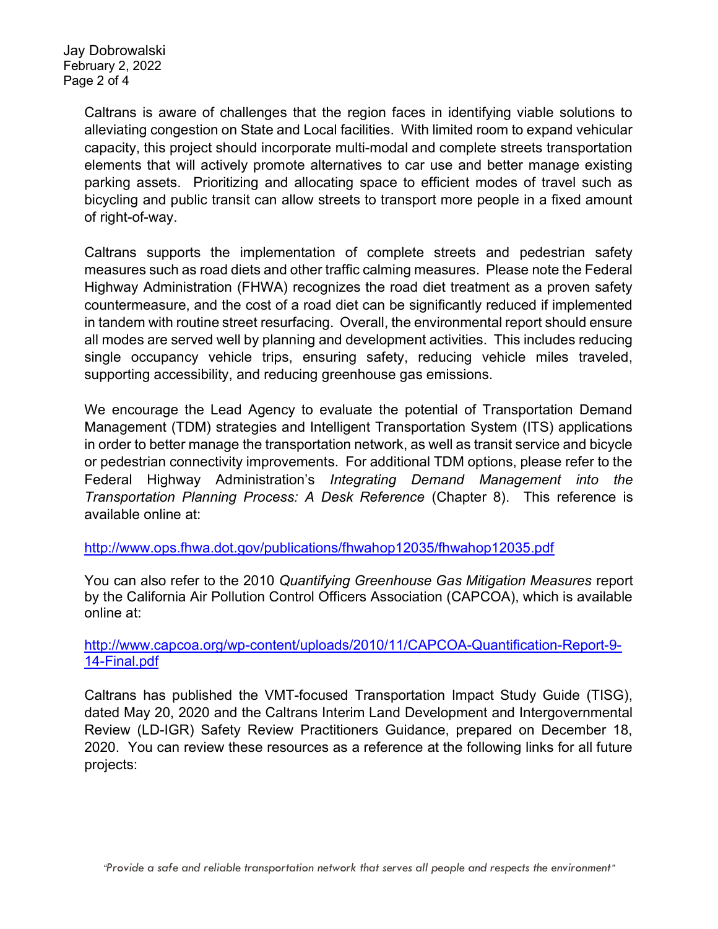Jay Dobrowalski February 2, 2022 Page 2 of 4

> Caltrans is aware of challenges that the region faces in identifying viable solutions to alleviating congestion on State and Local facilities. With limited room to expand vehicular capacity, this project should incorporate multi-modal and complete streets transportation elements that will actively promote alternatives to car use and better manage existing parking assets. Prioritizing and allocating space to efficient modes of travel such as bicycling and public transit can allow streets to transport more people in a fixed amount of right-of-way.

> Caltrans supports the implementation of complete streets and pedestrian safety measures such as road diets and other traffic calming measures. Please note the Federal Highway Administration (FHWA) recognizes the road diet treatment as a proven safety countermeasure, and the cost of a road diet can be significantly reduced if implemented in tandem with routine street resurfacing. Overall, the environmental report should ensure all modes are served well by planning and development activities. This includes reducing single occupancy vehicle trips, ensuring safety, reducing vehicle miles traveled, supporting accessibility, and reducing greenhouse gas emissions.

> We encourage the Lead Agency to evaluate the potential of Transportation Demand Management (TDM) strategies and Intelligent Transportation System (ITS) applications in order to better manage the transportation network, as well as transit service and bicycle or pedestrian connectivity improvements. For additional TDM options, please refer to the Federal Highway Administration's Integrating Demand Management into the Transportation Planning Process: A Desk Reference (Chapter 8). This reference is available online at:

http://www.ops.fhwa.dot.gov/publications/fhwahop12035/fhwahop12035.pdf

You can also refer to the 2010 Quantifying Greenhouse Gas Mitigation Measures report by the California Air Pollution Control Officers Association (CAPCOA), which is available online at:

http://www.capcoa.org/wp-content/uploads/2010/11/CAPCOA-Quantification-Report-9- 14-Final.pdf

Caltrans has published the VMT-focused Transportation Impact Study Guide (TISG), dated May 20, 2020 and the Caltrans Interim Land Development and Intergovernmental Review (LD-IGR) Safety Review Practitioners Guidance, prepared on December 18, 2020. You can review these resources as a reference at the following links for all future projects: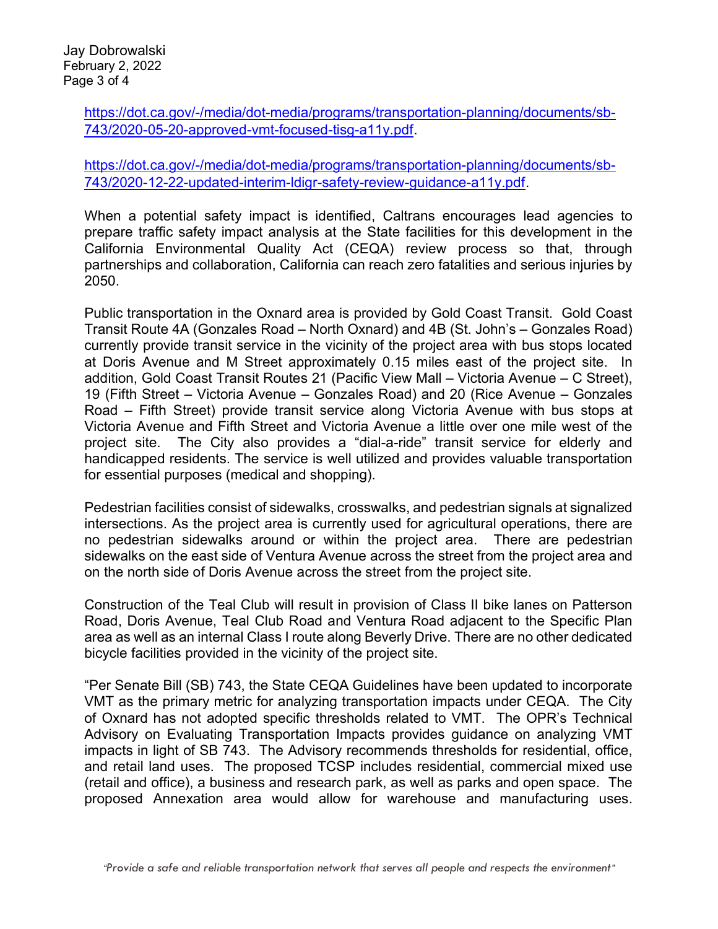https://dot.ca.gov/-/media/dot-media/programs/transportation-planning/documents/sb-743/2020-05-20-approved-vmt-focused-tisg-a11y.pdf.

https://dot.ca.gov/-/media/dot-media/programs/transportation-planning/documents/sb-743/2020-12-22-updated-interim-ldigr-safety-review-guidance-a11y.pdf.

When a potential safety impact is identified, Caltrans encourages lead agencies to prepare traffic safety impact analysis at the State facilities for this development in the California Environmental Quality Act (CEQA) review process so that, through partnerships and collaboration, California can reach zero fatalities and serious injuries by 2050.

Public transportation in the Oxnard area is provided by Gold Coast Transit. Gold Coast Transit Route 4A (Gonzales Road – North Oxnard) and 4B (St. John's – Gonzales Road) currently provide transit service in the vicinity of the project area with bus stops located at Doris Avenue and M Street approximately 0.15 miles east of the project site. In addition, Gold Coast Transit Routes 21 (Pacific View Mall – Victoria Avenue – C Street), 19 (Fifth Street – Victoria Avenue – Gonzales Road) and 20 (Rice Avenue – Gonzales Road – Fifth Street) provide transit service along Victoria Avenue with bus stops at Victoria Avenue and Fifth Street and Victoria Avenue a little over one mile west of the project site. The City also provides a "dial-a-ride" transit service for elderly and handicapped residents. The service is well utilized and provides valuable transportation for essential purposes (medical and shopping).

Pedestrian facilities consist of sidewalks, crosswalks, and pedestrian signals at signalized intersections. As the project area is currently used for agricultural operations, there are no pedestrian sidewalks around or within the project area. There are pedestrian sidewalks on the east side of Ventura Avenue across the street from the project area and on the north side of Doris Avenue across the street from the project site.

Construction of the Teal Club will result in provision of Class II bike lanes on Patterson Road, Doris Avenue, Teal Club Road and Ventura Road adjacent to the Specific Plan area as well as an internal Class I route along Beverly Drive. There are no other dedicated bicycle facilities provided in the vicinity of the project site.

"Per Senate Bill (SB) 743, the State CEQA Guidelines have been updated to incorporate VMT as the primary metric for analyzing transportation impacts under CEQA. The City of Oxnard has not adopted specific thresholds related to VMT. The OPR's Technical Advisory on Evaluating Transportation Impacts provides guidance on analyzing VMT impacts in light of SB 743. The Advisory recommends thresholds for residential, office, and retail land uses. The proposed TCSP includes residential, commercial mixed use (retail and office), a business and research park, as well as parks and open space. The proposed Annexation area would allow for warehouse and manufacturing uses.